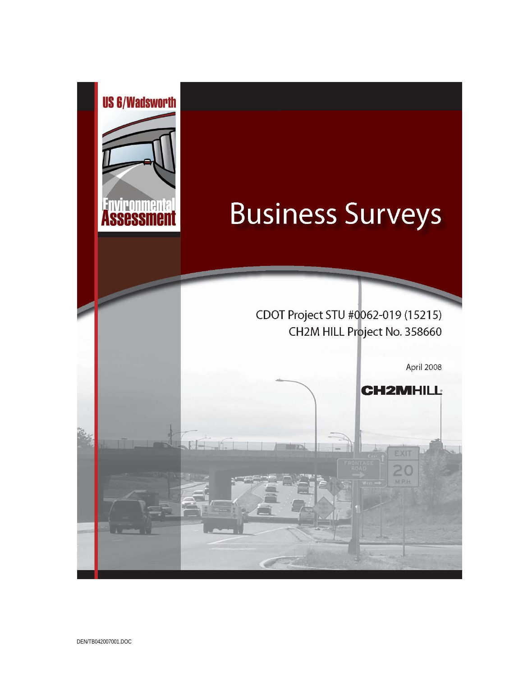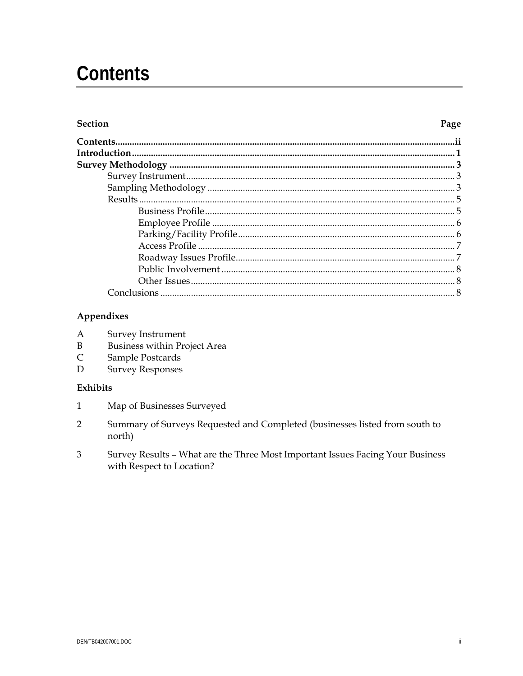# **Contents**

#### **Section**

### Appendixes

|  | Survey Instrument |
|--|-------------------|
|--|-------------------|

- $B$ **Business within Project Area**
- $\mathsf{C}$ Sample Postcards
- D **Survey Responses**

#### Exhibits

- Map of Businesses Surveyed  $\overline{1}$
- Summary of Surveys Requested and Completed (businesses listed from south to  $\overline{2}$ north)
- $\overline{3}$ Survey Results - What are the Three Most Important Issues Facing Your Business with Respect to Location?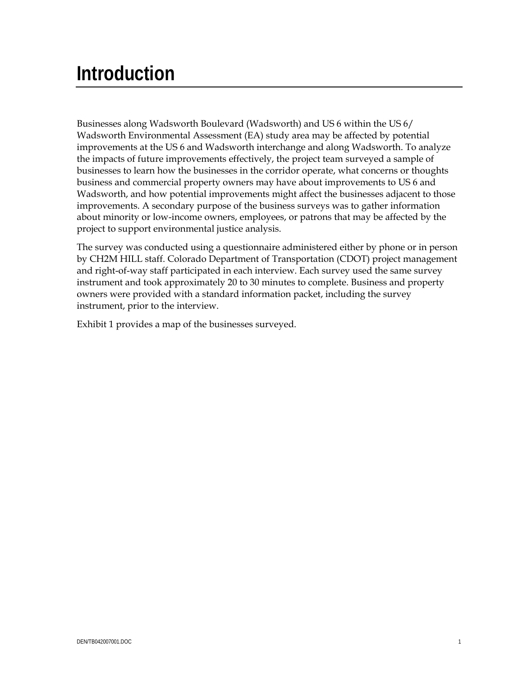# **Introduction**

Businesses along Wadsworth Boulevard (Wadsworth) and US 6 within the US 6/ Wadsworth Environmental Assessment (EA) study area may be affected by potential improvements at the US 6 and Wadsworth interchange and along Wadsworth. To analyze the impacts of future improvements effectively, the project team surveyed a sample of businesses to learn how the businesses in the corridor operate, what concerns or thoughts business and commercial property owners may have about improvements to US 6 and Wadsworth, and how potential improvements might affect the businesses adjacent to those improvements. A secondary purpose of the business surveys was to gather information about minority or low-income owners, employees, or patrons that may be affected by the project to support environmental justice analysis.

The survey was conducted using a questionnaire administered either by phone or in person by CH2M HILL staff. Colorado Department of Transportation (CDOT) project management and right-of-way staff participated in each interview. Each survey used the same survey instrument and took approximately 20 to 30 minutes to complete. Business and property owners were provided with a standard information packet, including the survey instrument, prior to the interview.

Exhibit 1 provides a map of the businesses surveyed.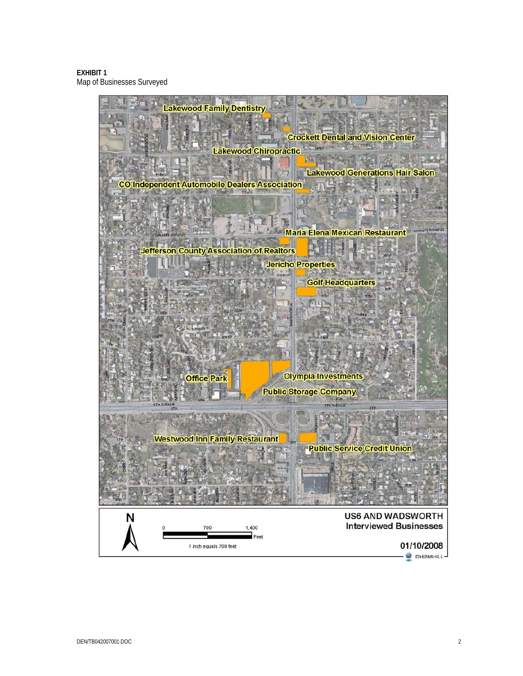#### **EXHIBIT 1**  Map of Businesses Surveyed

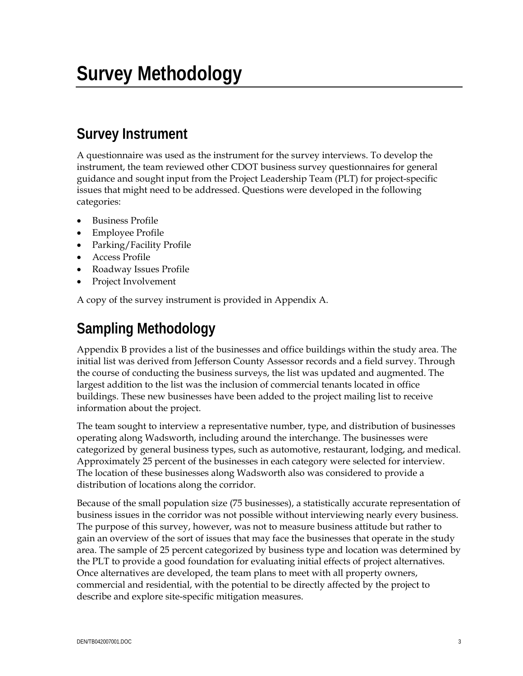# **Survey Methodology**

## **Survey Instrument**

A questionnaire was used as the instrument for the survey interviews. To develop the instrument, the team reviewed other CDOT business survey questionnaires for general guidance and sought input from the Project Leadership Team (PLT) for project-specific issues that might need to be addressed. Questions were developed in the following categories:

- Business Profile
- Employee Profile
- Parking/Facility Profile
- Access Profile
- Roadway Issues Profile
- Project Involvement

A copy of the survey instrument is provided in Appendix A.

## **Sampling Methodology**

Appendix B provides a list of the businesses and office buildings within the study area. The initial list was derived from Jefferson County Assessor records and a field survey. Through the course of conducting the business surveys, the list was updated and augmented. The largest addition to the list was the inclusion of commercial tenants located in office buildings. These new businesses have been added to the project mailing list to receive information about the project.

The team sought to interview a representative number, type, and distribution of businesses operating along Wadsworth, including around the interchange. The businesses were categorized by general business types, such as automotive, restaurant, lodging, and medical. Approximately 25 percent of the businesses in each category were selected for interview. The location of these businesses along Wadsworth also was considered to provide a distribution of locations along the corridor.

Because of the small population size (75 businesses), a statistically accurate representation of business issues in the corridor was not possible without interviewing nearly every business. The purpose of this survey, however, was not to measure business attitude but rather to gain an overview of the sort of issues that may face the businesses that operate in the study area. The sample of 25 percent categorized by business type and location was determined by the PLT to provide a good foundation for evaluating initial effects of project alternatives. Once alternatives are developed, the team plans to meet with all property owners, commercial and residential, with the potential to be directly affected by the project to describe and explore site-specific mitigation measures.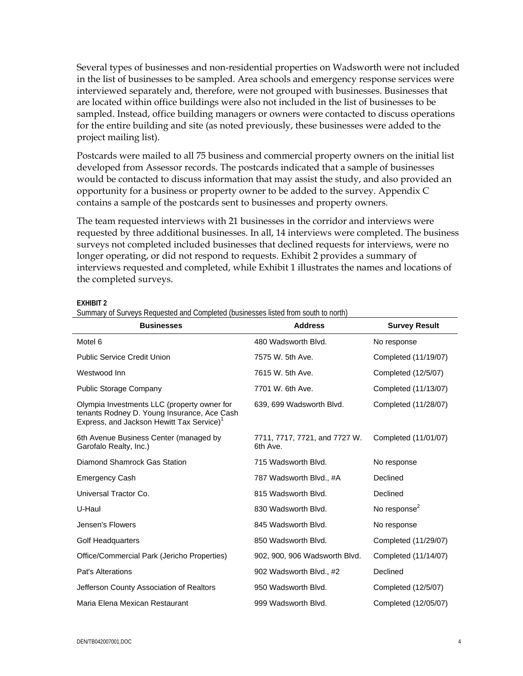Several types of businesses and non-residential properties on Wadsworth were not included in the list of businesses to be sampled. Area schools and emergency response services were interviewed separately and, therefore, were not grouped with businesses. Businesses that are located within office buildings were also not included in the list of businesses to be sampled. Instead, office building managers or owners were contacted to discuss operations for the entire building and site (as noted previously, these businesses were added to the project mailing list).

Postcards were mailed to all 75 business and commercial property owners on the initial list developed from Assessor records. The postcards indicated that a sample of businesses would be contacted to discuss information that may assist the study, and also provided an opportunity for a business or property owner to be added to the survey. Appendix C contains a sample of the postcards sent to businesses and property owners.

The team requested interviews with 21 businesses in the corridor and interviews were requested by three additional businesses. In all, 14 interviews were completed. The business surveys not completed included businesses that declined requests for interviews, were no longer operating, or did not respond to requests. Exhibit 2 provides a summary of interviews requested and completed, while Exhibit 1 illustrates the names and locations of the completed surveys.

#### **EXHIBIT 2**

|                                                                                                                                                     | Unimitally of Darveys hequested and completed (businesses iisted from south to north) |                          |  |  |  |
|-----------------------------------------------------------------------------------------------------------------------------------------------------|---------------------------------------------------------------------------------------|--------------------------|--|--|--|
| <b>Businesses</b>                                                                                                                                   | <b>Address</b>                                                                        | <b>Survey Result</b>     |  |  |  |
| Motel 6                                                                                                                                             | 480 Wadsworth Blvd.                                                                   | No response              |  |  |  |
| <b>Public Service Credit Union</b>                                                                                                                  | 7575 W. 5th Ave.                                                                      | Completed (11/19/07)     |  |  |  |
| Westwood Inn                                                                                                                                        | 7615 W. 5th Ave.                                                                      | Completed (12/5/07)      |  |  |  |
| <b>Public Storage Company</b>                                                                                                                       | 7701 W. 6th Ave.                                                                      | Completed (11/13/07)     |  |  |  |
| Olympia Investments LLC (property owner for<br>tenants Rodney D. Young Insurance, Ace Cash<br>Express, and Jackson Hewitt Tax Service) <sup>1</sup> | 639, 699 Wadsworth Blvd.                                                              | Completed (11/28/07)     |  |  |  |
| 6th Avenue Business Center (managed by<br>Garofalo Realty, Inc.)                                                                                    | 7711, 7717, 7721, and 7727 W.<br>6th Ave.                                             | Completed (11/01/07)     |  |  |  |
| Diamond Shamrock Gas Station                                                                                                                        | 715 Wadsworth Blvd.                                                                   | No response              |  |  |  |
| Emergency Cash                                                                                                                                      | 787 Wadsworth Blvd., #A                                                               | Declined                 |  |  |  |
| Universal Tractor Co.                                                                                                                               | 815 Wadsworth Blvd.                                                                   | Declined                 |  |  |  |
| U-Haul                                                                                                                                              | 830 Wadsworth Blvd.                                                                   | No response <sup>2</sup> |  |  |  |
| Jensen's Flowers                                                                                                                                    | 845 Wadsworth Blvd.                                                                   | No response              |  |  |  |
| <b>Golf Headquarters</b>                                                                                                                            | 850 Wadsworth Blvd.                                                                   | Completed (11/29/07)     |  |  |  |
| Office/Commercial Park (Jericho Properties)                                                                                                         | 902, 900, 906 Wadsworth Blvd.                                                         | Completed (11/14/07)     |  |  |  |
| Pat's Alterations                                                                                                                                   | 902 Wadsworth Blvd., #2                                                               | Declined                 |  |  |  |
| Jefferson County Association of Realtors                                                                                                            | 950 Wadsworth Blyd.                                                                   | Completed (12/5/07)      |  |  |  |
| Maria Elena Mexican Restaurant                                                                                                                      | 999 Wadsworth Blvd.                                                                   | Completed (12/05/07)     |  |  |  |

Summary of Surveys Requested and Completed (businesses listed from south to north)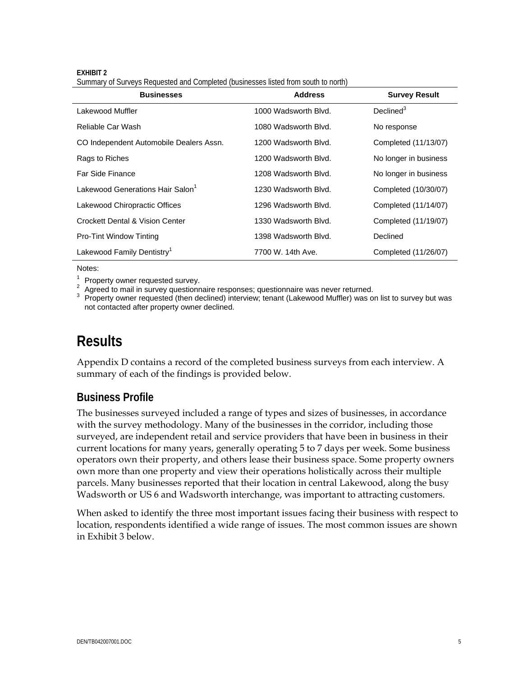#### **EXHIBIT 2**

Summary of Surveys Requested and Completed (businesses listed from south to north)

| <b>Businesses</b>                            | <b>Address</b>       | <b>Survey Result</b>  |
|----------------------------------------------|----------------------|-----------------------|
| Lakewood Muffler                             | 1000 Wadsworth Blvd. | Declined <sup>3</sup> |
| Reliable Car Wash                            | 1080 Wadsworth Blvd. | No response           |
| CO Independent Automobile Dealers Assn.      | 1200 Wadsworth Blvd. | Completed (11/13/07)  |
| Rags to Riches                               | 1200 Wadsworth Blvd. | No longer in business |
| Far Side Finance                             | 1208 Wadsworth Blvd. | No longer in business |
| Lakewood Generations Hair Salon <sup>1</sup> | 1230 Wadsworth Blvd. | Completed (10/30/07)  |
| Lakewood Chiropractic Offices                | 1296 Wadsworth Blvd. | Completed (11/14/07)  |
| Crockett Dental & Vision Center              | 1330 Wadsworth Blvd. | Completed (11/19/07)  |
| <b>Pro-Tint Window Tinting</b>               | 1398 Wadsworth Blvd. | Declined              |
| Lakewood Family Dentistry <sup>1</sup>       | 7700 W. 14th Ave.    | Completed (11/26/07)  |

Notes:

 $1$  Property owner requested survey.

 $^2$  Agreed to mail in survey questionnaire responses; questionnaire was never returned.<br>3. Preparty owner requested (than deslined) intensieur tenent (Lekewood Muffler) was or

Property owner requested (then declined) interview; tenant (Lakewood Muffler) was on list to survey but was not contacted after property owner declined.

## **Results**

Appendix D contains a record of the completed business surveys from each interview. A summary of each of the findings is provided below.

### **Business Profile**

The businesses surveyed included a range of types and sizes of businesses, in accordance with the survey methodology. Many of the businesses in the corridor, including those surveyed, are independent retail and service providers that have been in business in their current locations for many years, generally operating 5 to 7 days per week. Some business operators own their property, and others lease their business space. Some property owners own more than one property and view their operations holistically across their multiple parcels. Many businesses reported that their location in central Lakewood, along the busy Wadsworth or US 6 and Wadsworth interchange, was important to attracting customers.

When asked to identify the three most important issues facing their business with respect to location, respondents identified a wide range of issues. The most common issues are shown in Exhibit 3 below.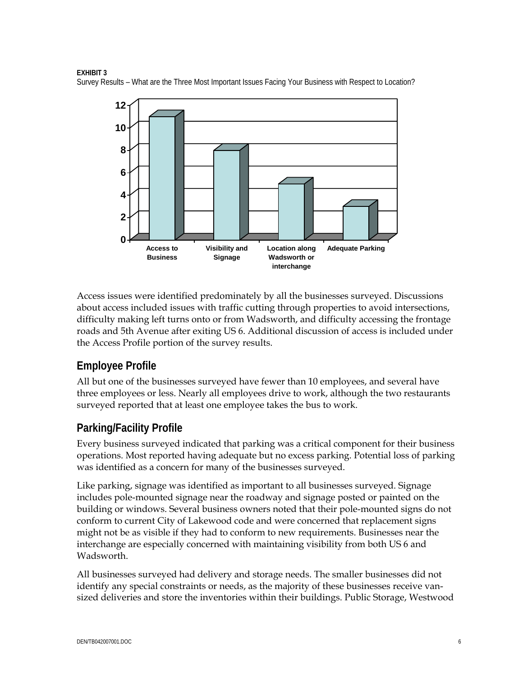**EXHIBIT 3** 



Survey Results – What are the Three Most Important Issues Facing Your Business with Respect to Location?

Access issues were identified predominately by all the businesses surveyed. Discussions about access included issues with traffic cutting through properties to avoid intersections, difficulty making left turns onto or from Wadsworth, and difficulty accessing the frontage roads and 5th Avenue after exiting US 6. Additional discussion of access is included under the Access Profile portion of the survey results.

## **Employee Profile**

All but one of the businesses surveyed have fewer than 10 employees, and several have three employees or less. Nearly all employees drive to work, although the two restaurants surveyed reported that at least one employee takes the bus to work.

## **Parking/Facility Profile**

Every business surveyed indicated that parking was a critical component for their business operations. Most reported having adequate but no excess parking. Potential loss of parking was identified as a concern for many of the businesses surveyed.

Like parking, signage was identified as important to all businesses surveyed. Signage includes pole-mounted signage near the roadway and signage posted or painted on the building or windows. Several business owners noted that their pole-mounted signs do not conform to current City of Lakewood code and were concerned that replacement signs might not be as visible if they had to conform to new requirements. Businesses near the interchange are especially concerned with maintaining visibility from both US 6 and Wadsworth.

All businesses surveyed had delivery and storage needs. The smaller businesses did not identify any special constraints or needs, as the majority of these businesses receive vansized deliveries and store the inventories within their buildings. Public Storage, Westwood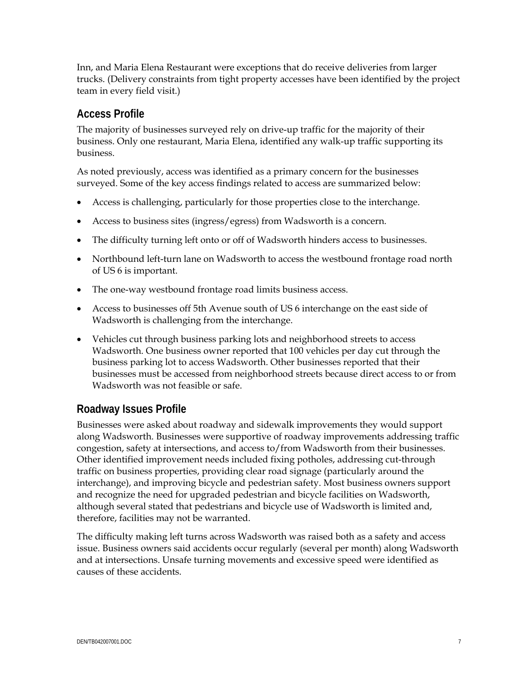Inn, and Maria Elena Restaurant were exceptions that do receive deliveries from larger trucks. (Delivery constraints from tight property accesses have been identified by the project team in every field visit.)

## **Access Profile**

The majority of businesses surveyed rely on drive-up traffic for the majority of their business. Only one restaurant, Maria Elena, identified any walk-up traffic supporting its business.

As noted previously, access was identified as a primary concern for the businesses surveyed. Some of the key access findings related to access are summarized below:

- Access is challenging, particularly for those properties close to the interchange.
- Access to business sites (ingress/egress) from Wadsworth is a concern.
- The difficulty turning left onto or off of Wadsworth hinders access to businesses.
- Northbound left-turn lane on Wadsworth to access the westbound frontage road north of US 6 is important.
- The one-way westbound frontage road limits business access.
- Access to businesses off 5th Avenue south of US 6 interchange on the east side of Wadsworth is challenging from the interchange.
- Vehicles cut through business parking lots and neighborhood streets to access Wadsworth. One business owner reported that 100 vehicles per day cut through the business parking lot to access Wadsworth. Other businesses reported that their businesses must be accessed from neighborhood streets because direct access to or from Wadsworth was not feasible or safe.

### **Roadway Issues Profile**

Businesses were asked about roadway and sidewalk improvements they would support along Wadsworth. Businesses were supportive of roadway improvements addressing traffic congestion, safety at intersections, and access to/from Wadsworth from their businesses. Other identified improvement needs included fixing potholes, addressing cut-through traffic on business properties, providing clear road signage (particularly around the interchange), and improving bicycle and pedestrian safety. Most business owners support and recognize the need for upgraded pedestrian and bicycle facilities on Wadsworth, although several stated that pedestrians and bicycle use of Wadsworth is limited and, therefore, facilities may not be warranted.

The difficulty making left turns across Wadsworth was raised both as a safety and access issue. Business owners said accidents occur regularly (several per month) along Wadsworth and at intersections. Unsafe turning movements and excessive speed were identified as causes of these accidents.